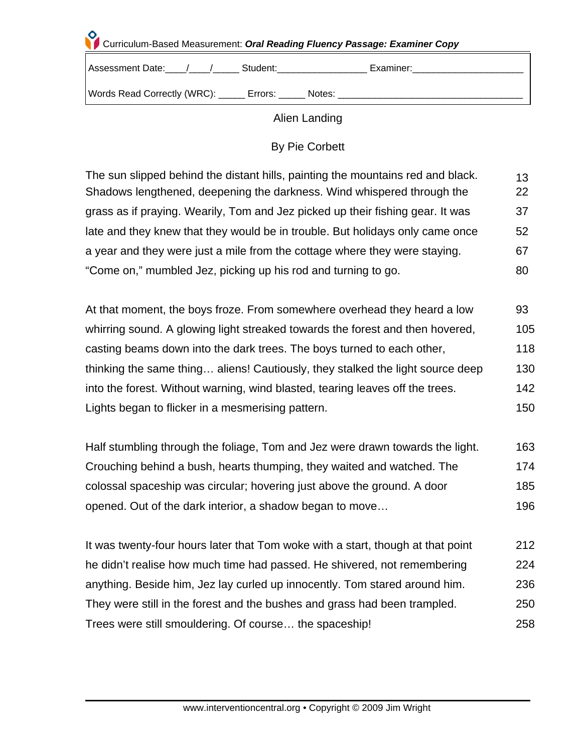## **Curriculum-Based Measurement: Oral Reading Fluency Passage: Examiner Copy**

| Assessment Date:                | Student: | Examiner: |
|---------------------------------|----------|-----------|
| Words Read Correctly (WRC): ___ | Errors:  | Notes:    |

## Alien Landing

## By Pie Corbett

| The sun slipped behind the distant hills, painting the mountains red and black. | 13  |
|---------------------------------------------------------------------------------|-----|
| Shadows lengthened, deepening the darkness. Wind whispered through the          | 22  |
| grass as if praying. Wearily, Tom and Jez picked up their fishing gear. It was  | 37  |
| late and they knew that they would be in trouble. But holidays only came once   | 52  |
| a year and they were just a mile from the cottage where they were staying.      | 67  |
| "Come on," mumbled Jez, picking up his rod and turning to go.                   | 80. |

| At that moment, the boys froze. From somewhere overhead they heard a low       | 93  |
|--------------------------------------------------------------------------------|-----|
| whirring sound. A glowing light streaked towards the forest and then hovered,  | 105 |
| casting beams down into the dark trees. The boys turned to each other,         | 118 |
| thinking the same thing aliens! Cautiously, they stalked the light source deep | 130 |
| into the forest. Without warning, wind blasted, tearing leaves off the trees.  | 142 |
| Lights began to flicker in a mesmerising pattern.                              | 150 |

| Half stumbling through the foliage, Tom and Jez were drawn towards the light. |     |
|-------------------------------------------------------------------------------|-----|
| Crouching behind a bush, hearts thumping, they waited and watched. The        | 174 |
| colossal spaceship was circular; hovering just above the ground. A door       | 185 |
| opened. Out of the dark interior, a shadow began to move                      | 196 |

It was twenty-four hours later that Tom woke with a start, though at that point 212 he didn't realise how much time had passed. He shivered, not remembering 224 anything. Beside him, Jez lay curled up innocently. Tom stared around him. 236 They were still in the forest and the bushes and grass had been trampled. 250 Trees were still smouldering. Of course… the spaceship! 258